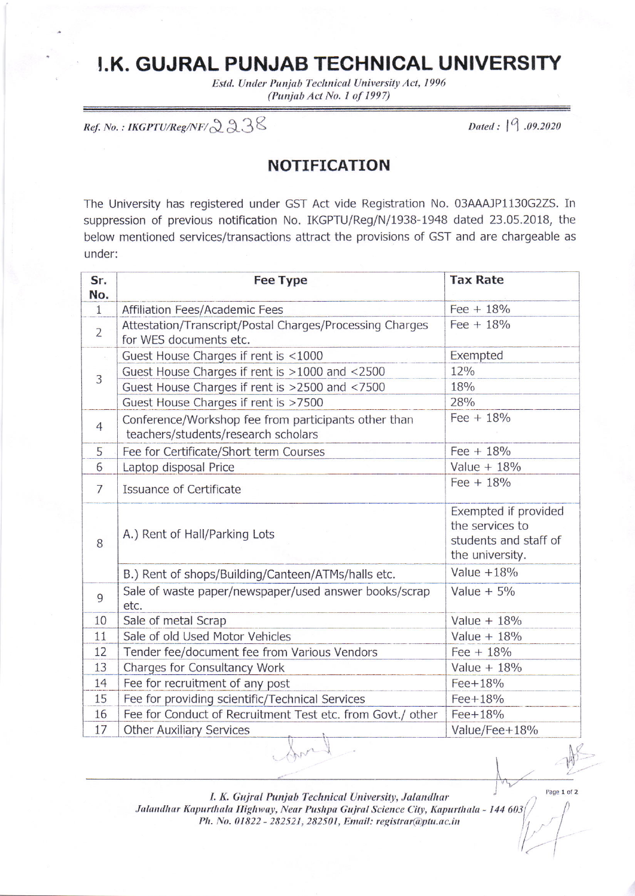## **J.K. GUJRAL PUNJAB TECHNICAL UNIVERSITY**

Estd. Under Punjab Technical University Act, 1996 (Punjab Act No. 1 of 1997)

 $\mathit{Ref. No. : IKGPTU/Reg/NF}/238$ 

Dated: 19.09.2020

## **NOTIFICATION**

The University has registered under GST Act vide Registration No. 03AAAJP1130G2ZS. In suppression of previous notification No. IKGPTU/Reg/N/1938-1948 dated 23.05.2018, the below mentioned services/transactions attract the provisions of GST and are chargeable as under:

| Sr.            | <b>Fee Type</b>                                                                             | <b>Tax Rate</b>                                                                     |
|----------------|---------------------------------------------------------------------------------------------|-------------------------------------------------------------------------------------|
| No.            |                                                                                             |                                                                                     |
| $\mathbf{1}$   | Affiliation Fees/Academic Fees                                                              | Fee $+18%$                                                                          |
| $\overline{2}$ | Attestation/Transcript/Postal Charges/Processing Charges<br>for WES documents etc.          | Fee $+18%$                                                                          |
|                | Guest House Charges if rent is <1000                                                        | Exempted                                                                            |
| 3              | Guest House Charges if rent is >1000 and <2500                                              | 12%                                                                                 |
|                | Guest House Charges if rent is >2500 and <7500                                              | 18%                                                                                 |
|                | Guest House Charges if rent is >7500                                                        | 28%                                                                                 |
| 4              | Conference/Workshop fee from participants other than<br>teachers/students/research scholars | Fee $+18%$                                                                          |
| 5              | Fee for Certificate/Short term Courses                                                      | Fee $+18%$                                                                          |
| 6              | Laptop disposal Price                                                                       | Value $+ 18%$                                                                       |
| $\overline{7}$ | Issuance of Certificate                                                                     | Fee $+18%$                                                                          |
| 8              | A.) Rent of Hall/Parking Lots                                                               | Exempted if provided<br>the services to<br>students and staff of<br>the university. |
|                | B.) Rent of shops/Building/Canteen/ATMs/halls etc.                                          | Value $+18\%$                                                                       |
| 9              | Sale of waste paper/newspaper/used answer books/scrap<br>etc.                               | Value $+5%$                                                                         |
| 10             | Sale of metal Scrap                                                                         | Value $+18%$                                                                        |
| 11             | Sale of old Used Motor Vehicles                                                             | Value $+ 18\%$                                                                      |
| 12             | Tender fee/document fee from Various Vendors                                                | Fee $+18%$                                                                          |
| 13             | Charges for Consultancy Work                                                                | Value $+18%$                                                                        |
| 14             | Fee for recruitment of any post                                                             | Fee+18%                                                                             |
| 15             | Fee for providing scientific/Technical Services                                             | Fee+18%                                                                             |
| 16             | Fee for Conduct of Recruitment Test etc. from Govt./ other                                  | Fee+18%                                                                             |
| 17             | <b>Other Auxiliary Services</b>                                                             | Value/Fee+18%                                                                       |
|                | $n^{\prime}$                                                                                | N                                                                                   |

I. K. Gujral Punjab Technical University, Jalandhar

Jalandhar Kapurthala Highway, Near Pushpa Gujral Science City, Kapurthala - 144 603/ Ph. No. 01822 - 282521, 282501, Email: registrar@ptu.ac.in

Page 1 of 2